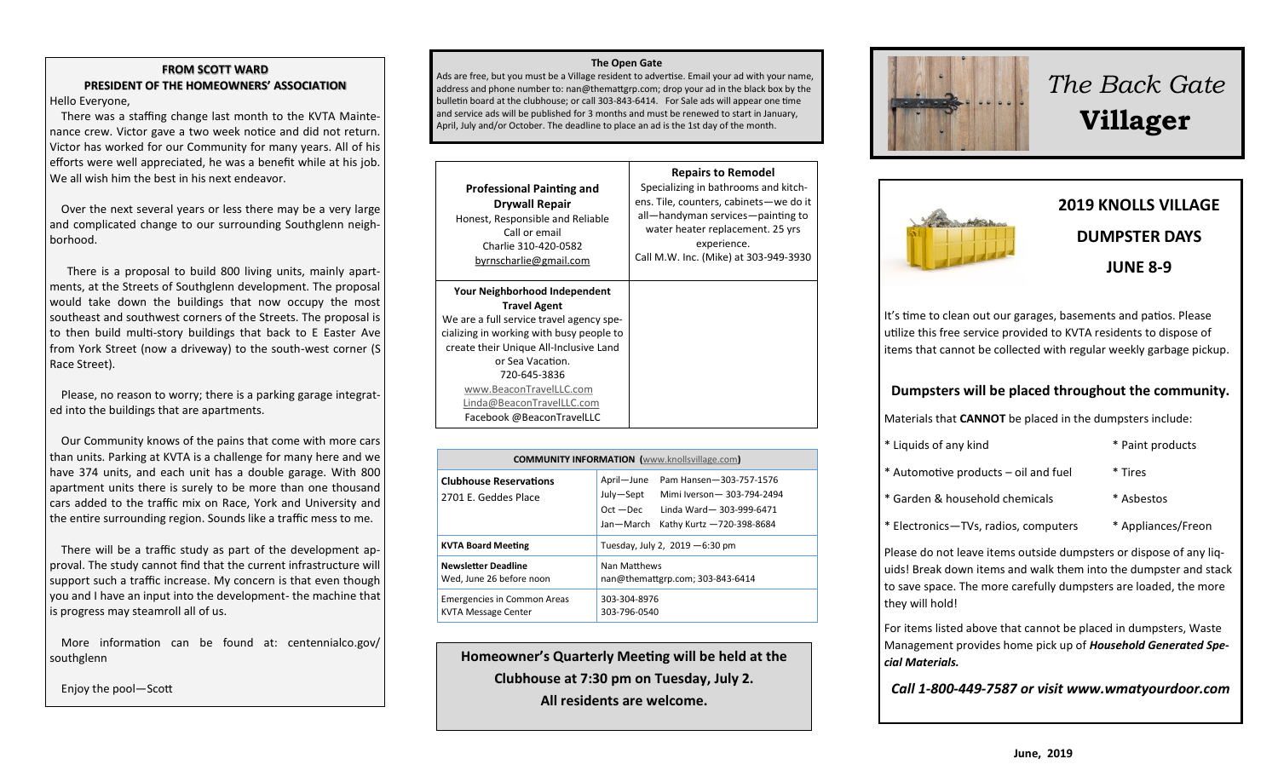#### **FROM SCOTT WARD PRESIDENT OF THE HOMEOWNERS' ASSOCIATION** Hello Everyone,

 There was a staffing change last month to the KVTA Maintenance crew. Victor gave a two week notice and did not return. Victor has worked for our Community for many years. All of his efforts were well appreciated, he was a benefit while at his job. We all wish him the best in his next endeavor.

 Over the next several years or less there may be a very large and complicated change to our surrounding Southglenn neighborhood.

 There is a proposal to build 800 living units, mainly apartments, at the Streets of Southglenn development. The proposal would take down the buildings that now occupy the most southeast and southwest corners of the Streets. The proposal is to then build multi-story buildings that back to E Easter Ave from York Street (now a driveway) to the south-west corner (S Race Street).

 Please, no reason to worry; there is a parking garage integrated into the buildings that are apartments.

 Our Community knows of the pains that come with more cars than units. Parking at KVTA is a challenge for many here and we have 374 units, and each unit has a double garage. With 800 apartment units there is surely to be more than one thousand cars added to the traffic mix on Race, York and University and the entire surrounding region. Sounds like a traffic mess to me.

 There will be a traffic study as part of the development approval. The study cannot find that the current infrastructure will support such a traffic increase. My concern is that even though you and I have an input into the development- the machine that is progress may steamroll all of us.

 More information can be found at: centennialco.gov/ southglenn

Enjoy the pool—Scott

#### **The Open Gate**

Ads are free, but you must be a Village resident to advertise. Email your ad with your name, address and phone number to: nan@themattgrp.com; drop your ad in the black box by the bulletin board at the clubhouse; or call 303-843-6414. For Sale ads will appear one time and service ads will be published for 3 months and must be renewed to start in January, April, July and/or October. The deadline to place an ad is the 1st day of the month.

| <b>Professional Painting and</b><br><b>Drywall Repair</b><br>Honest, Responsible and Reliable<br>Call or email<br>Charlie 310-420-0582<br>byrnscharlie@gmail.com                                                                                                                                                | <b>Repairs to Remodel</b><br>Specializing in bathrooms and kitch-<br>ens. Tile, counters, cabinets-we do it<br>all—handyman services—painting to<br>water heater replacement. 25 yrs<br>experience.<br>Call M.W. Inc. (Mike) at 303-949-3930 |
|-----------------------------------------------------------------------------------------------------------------------------------------------------------------------------------------------------------------------------------------------------------------------------------------------------------------|----------------------------------------------------------------------------------------------------------------------------------------------------------------------------------------------------------------------------------------------|
| Your Neighborhood Independent<br><b>Travel Agent</b><br>We are a full service travel agency spe-<br>cializing in working with busy people to<br>create their Unique All-Inclusive Land<br>or Sea Vacation.<br>720-645-3836<br>www.BeaconTravelLLC.com<br>Linda@BeaconTravelLLC.com<br>Facebook @BeaconTravelLLC |                                                                                                                                                                                                                                              |

| <b>COMMUNITY INFORMATION</b> (www.knollsvillage.com)             |                                                                                                                                                                       |  |
|------------------------------------------------------------------|-----------------------------------------------------------------------------------------------------------------------------------------------------------------------|--|
| <b>Clubhouse Reservations</b><br>2701 E. Geddes Place            | Pam Hansen-303-757-1576<br>April-June<br>July-Sept<br>Mimi Iverson-303-794-2494<br>$Oct - Dec$<br>Linda Ward - 303-999-6471<br>Kathy Kurtz -720-398-8684<br>Jan-March |  |
| <b>KVTA Board Meeting</b>                                        | Tuesday, July 2, 2019 - 6:30 pm                                                                                                                                       |  |
| <b>Newsletter Deadline</b><br>Wed. June 26 before noon           | Nan Matthews<br>nan@themattgrp.com; 303-843-6414                                                                                                                      |  |
| <b>Emergencies in Common Areas</b><br><b>KVTA Message Center</b> | 303-304-8976<br>303-796-0540                                                                                                                                          |  |

**Homeowner's Quarterly Meeting will be held at the Clubhouse at 7:30 pm on Tuesday, July 2. All residents are welcome.** 



# *The Back Gate*  **Villager**



It's time to clean out our garages, basements and patios. Please utilize this free service provided to KVTA residents to dispose of items that cannot be collected with regular weekly garbage pickup.

## **Dumpsters will be placed throughout the community.**

Materials that **CANNOT** be placed in the dumpsters include:

| * Liquids of any kind                | * Paint products   |
|--------------------------------------|--------------------|
| * Automotive products – oil and fuel | * Tires            |
| * Garden & household chemicals       | * Asbestos         |
| * Electronics-TVs, radios, computers | * Appliances/Freon |

Please do not leave items outside dumpsters or dispose of any liquids! Break down items and walk them into the dumpster and stack to save space. The more carefully dumpsters are loaded, the more they will hold!

For items listed above that cannot be placed in dumpsters, Waste Management provides home pick up of *Household Generated Special Materials.* 

*Call 1-800-449-7587 or visit www.wmatyourdoor.com*